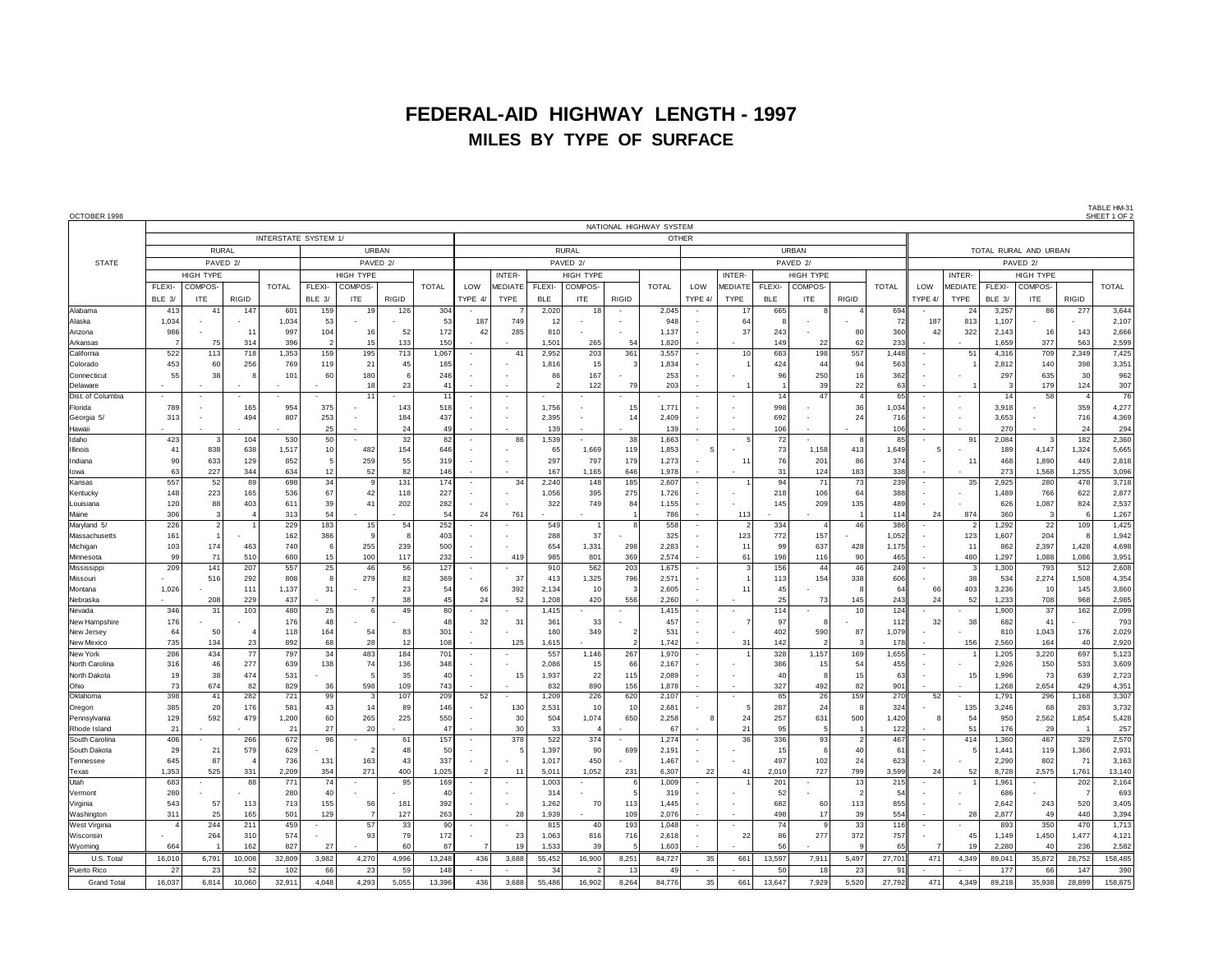## **FEDERAL-AID HIGHWAY LENGTH - 1997 MILES BY TYPE OF SURFACE**

| OCTOBER 1998                 |                     |                |                      |                  |                     |                      |                 |                    |                          |                      |                |               |            |                         |                      |                   |               |            |                |              |         |                     |                       |                |                | SHEET 1 OF     |  |  |
|------------------------------|---------------------|----------------|----------------------|------------------|---------------------|----------------------|-----------------|--------------------|--------------------------|----------------------|----------------|---------------|------------|-------------------------|----------------------|-------------------|---------------|------------|----------------|--------------|---------|---------------------|-----------------------|----------------|----------------|----------------|--|--|
|                              |                     |                |                      |                  |                     |                      |                 |                    |                          |                      |                |               |            | NATIONAL HIGHWAY SYSTEM |                      |                   |               |            |                |              |         |                     |                       |                |                |                |  |  |
|                              |                     |                | INTERSTATE SYSTEM 1/ |                  |                     |                      |                 |                    | <b>OTHER</b>             |                      |                |               |            |                         |                      |                   |               |            |                |              |         |                     |                       |                |                |                |  |  |
|                              |                     | <b>RURAL</b>   |                      |                  | <b>URBAN</b>        |                      |                 |                    | <b>RURAL</b>             |                      |                |               |            |                         |                      | URBAN             |               |            |                |              |         |                     | TOTAL RURAL AND URBAN |                |                |                |  |  |
| <b>STATE</b>                 | PAVED <sub>2/</sub> |                |                      |                  | PAVED <sub>2/</sub> |                      |                 |                    | PAVED 2/                 |                      |                |               |            |                         | PAVED <sub>2</sub> / |                   |               |            |                |              |         | PAVED <sub>2/</sub> |                       |                |                |                |  |  |
|                              | <b>HIGH TYPE</b>    |                |                      | <b>HIGH TYPE</b> |                     |                      |                 |                    | INTER-                   | <b>HIGH TYPE</b>     |                |               |            |                         | <b>INTER</b>         |                   | HIGH TYPE     |            |                |              | INTER-  |                     | HIGH TYPE             |                |                |                |  |  |
|                              | FLEXI-              | <b>COMPOS</b>  |                      | <b>TOTAL</b>     | FLEXI-              | COMPOS-              |                 | <b>TOTAL</b>       | LOW                      | <b>MEDIATE</b>       | FLEXI-         | <b>COMPOS</b> |            | <b>TOTAL</b>            | LOW                  | MEDIATE           | <b>FLEXI-</b> | COMPOS     |                | <b>TOTAL</b> | LOW     | MEDIATE             | FLEXI-                | COMPOS-        |                | <b>TOTAL</b>   |  |  |
|                              | BLE 3/              | ITE            | <b>RIGID</b>         |                  | BLE 3/              | <b>ITE</b>           | RIGID           |                    | TYPE 4/                  | <b>TYPE</b>          | <b>BLE</b>     | ITE.          | RIGID      |                         | TYPE 4/              | TYPE              | <b>BLE</b>    | <b>ITE</b> | <b>RIGID</b>   |              | TYPE 4/ | TYPE                | BI F 3/               | ITE.           | <b>RIGID</b>   |                |  |  |
| Alabama                      | 413                 | 41             | 147                  | 601              | 159                 | 19                   | 126             | 304                |                          |                      | 2,020          | 18            |            | 2,045                   |                      | 17                | 665           |            |                | 694          |         | 24                  | 3,257                 | 86             | 277            | 3,644          |  |  |
| Alaska                       | 1,034               |                |                      | 1,034            | 53                  |                      |                 | 53                 | 187                      | 749                  | -11            |               |            | 948                     |                      | 64                |               |            |                | 72           | 187     | 813                 | 1,107                 |                |                | 2,107          |  |  |
| Arizona                      | 986                 |                | 11                   | 997              | 104                 | 16                   | 52              | 172                | 42                       | 285                  | 810            |               |            | 1,137                   |                      | 37                | 243           |            | 80             | 360          | 42      | 322                 | 2,143                 | 16             | 143            | 2,666          |  |  |
| Arkansas                     |                     | 75             | 314                  | 396              | $\overline{2}$      | 15                   | 133             | 150                |                          |                      | 1,50'          | 265           | 54         | 1,820                   |                      |                   | 149           | 22         | 62             | 233          |         |                     | 1,659                 | 377            | 563            | 2,599          |  |  |
| California                   | 522                 | 113            | 718                  | 1,353            | 159                 | 195                  | 713             | 1,067              |                          | 4 <sup>7</sup>       | 2,952          | 203           | 361        | 3,557                   |                      | 10                | 683           | 198        | 557            | 1,448        |         | 51                  | 4,316                 | 709            | 2,349          | 7,425          |  |  |
| Colorado                     | 453                 | 60             | 256                  | 769              | 119                 | 21                   | 45              | 185                |                          |                      | 1,816          | 15            |            | 1,834                   |                      |                   | 424           | 44         | 94             | 563          |         |                     | 2,812                 | 140            | 398            | 3,351          |  |  |
| Connecticut                  | 55                  | 38             |                      | 101              | 60                  | 180                  |                 | 246                |                          |                      | 86             | 167           |            | 253                     |                      |                   | 96            | 250        | 16             | 362          |         |                     | 297                   | 635            | 30             | 962            |  |  |
| Delaware                     |                     |                |                      |                  |                     | 18<br>1 <sup>1</sup> | 23              | $\mathbf{4}$<br>11 |                          |                      |                | 122           | 79         | 203                     |                      |                   | 14            | 39<br>47   | 22             | 63<br>65     |         |                     | 14                    | 179<br>58      | 124            | 307<br>76      |  |  |
| Dist. of Columbia<br>Florida | 789                 |                | 165                  | 954              | 375                 |                      | 143             | 518                |                          |                      | 1,756          |               | 15         | 1,771                   |                      |                   | 998           |            | 36             | 1,034        |         |                     | 3,918                 |                | 359            | 4,277          |  |  |
| Georgia 5/                   | 313                 |                | 494                  | 807              | 253                 |                      | 184             | 437                |                          |                      | 2,39           |               | 14         | 2,409                   |                      |                   | 692           |            | 24             | 716          |         |                     | 3,653                 |                | 716            | 4,369          |  |  |
| Hawaii                       |                     |                |                      |                  | 25                  |                      | 24              | 49                 |                          |                      | 139            |               |            | 139                     |                      |                   | 106           |            |                | 106          |         |                     | 270                   |                | 24             | 294            |  |  |
| Idaho                        | 423                 |                | 104                  | 530              | 50                  |                      | 32              | 82                 | $\sim$                   | 86                   | 1,539          |               | 38         | 1,663                   |                      |                   | 72            |            |                | 85           |         | 91                  | 2,084                 | 3              | 182            | 2,360          |  |  |
| Illinois                     | 41                  | 838            | 638                  | 1.517            | 10 <sup>1</sup>     | 482                  | 154             | 646                |                          |                      | -65            | 1.669         | 119        | 1.853                   |                      |                   | 73            | 1.158      | 413            | 1.649        |         |                     | 189                   | 4.147          | 1,324          | 5,665          |  |  |
| Indiana                      | 90                  | 633            | 129                  | 852              | 5                   | 259                  | 55              | 319                |                          |                      | 297            | 797           | 179        | 1,273                   |                      | $1^{\circ}$       | 76            | 201        | 86             | 374          |         |                     | 468                   | 1,890          | 449            | 2,818          |  |  |
| lowa                         | 63                  | 227            | 344                  | 634              | 12                  | 52                   | 82              | 146                |                          |                      | 167            | 1,165         | 646        | 1,978                   |                      |                   | 31            | 124        | 183            | 338          |         |                     | 273                   | 1,568          | 1,255          | 3,096          |  |  |
| Kansas                       | 557                 | 52             | 89                   | 698              | 34                  |                      | 131             | 174                | $\sim$                   | 34                   | 2,240          | 148           | 185        | 2,607                   |                      |                   | 94            | 71         | 73             | 239          |         | 35                  | 2.925                 | 280            | 478            | 3,718          |  |  |
| Kentucky                     | 148                 | 223            | 165                  | 536              | 67                  | 42                   | 118             | 227                |                          |                      | 1,056          | 395           | 275        | 1,726                   |                      |                   | 218           | 106        | 64             | 388          |         |                     | 1,489                 | 766            | 622            | 2,877          |  |  |
| Louisiana                    | 120                 | 88             | 403                  | 611              | 39                  | 41                   | 202             | 282                |                          |                      | 322            | 749           | 84         | 1,155                   |                      |                   | 145           | 209        | 135            | 489          |         |                     | 626                   | 1,087          | 824            | 2,537          |  |  |
| Maine                        | 306                 | 3              |                      | 313              | 54                  |                      |                 | 54                 | 24                       | 761                  |                |               |            | 786                     |                      | 113               |               |            |                | 114          | 24      | 874                 | 360                   | -3             |                | 1,267          |  |  |
| Maryland 5/                  | 226                 | $\overline{2}$ |                      | 229              | 183                 | 15                   | 54              | 252                |                          |                      | 549            |               |            | 558                     |                      |                   | 334           |            | 46             | 386          |         |                     | 1,292                 | 22             | 109            | 1,425          |  |  |
| Massachusett                 | 161                 | $\overline{1}$ |                      | 162              | 386                 |                      |                 | 403                |                          |                      | 288            | 37            |            | 325                     |                      | 123               | 772           | 157        |                | 1.052        |         | 123                 | 1.607                 | 204            |                | 1,942          |  |  |
| Michigan                     | 103<br>99           | 174<br>71      | 463<br>510           | 740<br>680       | 6<br>15             | 255<br>100           | 239<br>117      | 500<br>232         | ÷.                       | 419                  | 654<br>985     | 1,331<br>801  | 298<br>369 | 2,283<br>2,574          |                      | $1^{\circ}$<br>61 | 99<br>198     | 637<br>116 | 428<br>90      | 1,175<br>465 |         | 11<br>480           | 862<br>1,297          | 2,397<br>1,088 | 1,428<br>1,086 | 4,698<br>3,951 |  |  |
| Minnesota<br>Mississipp      | 209                 | 141            | 207                  | 557              | 25                  | 46                   | 56              | 127                | $\sim$                   |                      | 910            | 562           | 203        | 1,675                   |                      |                   | 156           | 44         | 46             | 249          |         |                     | 1,300                 | 793            | 512            | 2,608          |  |  |
| Missouri                     |                     | 516            | 292                  | 808              | 8                   | 279                  | 82              | 369                |                          | 37                   | 413            | 1,325         | 796        | 2,571                   |                      |                   | 113           | 154        | 338            | 606          |         | 38                  | 534                   | 2,274          | 1,508          | 4,354          |  |  |
| Montana                      | 1,026               |                | 111                  | 1,137            | 31                  |                      | 23              | 54                 | -66                      | 392                  | 2,134          | 10            | r.         | 2,605                   |                      | 11                | 45            |            | -8             | 64           | 66      | 403                 | 3,236                 | 10             | 145            | 3,860          |  |  |
| Nebraska                     |                     | 208            | 229                  | 437              |                     |                      | 38              | 45                 | 24                       | 52                   | 1,208          | 420           | 556        | 2,260                   |                      |                   | 25            | 73         | 145            | 243          | 24      | 52                  | 1,233                 | 708            | 968            | 2,985          |  |  |
| Nevada                       | 346                 | 31             | 103                  | 480              | 25                  | 6                    | 49              | 80                 |                          |                      | 1,415          |               |            | 1,415                   |                      |                   | 114           |            | 10             | 124          |         |                     | 1,900                 | 37             | 162            | 2,099          |  |  |
| New Hampshire                | 176                 |                |                      | 176              | 48                  |                      |                 | 48                 | 32                       | 31                   | 36'            | 33            |            | 457                     |                      |                   | 97            |            |                | 112          | 32      | 38                  | 682                   | 41             |                | 793            |  |  |
| New Jersey                   | 64                  | 50             |                      | 118              | 164                 | 54                   | 83              | 301                |                          |                      | 180            | 349           |            | 531                     |                      |                   | 402           | 590        | 87             | 1,079        |         |                     | 810                   | 1,043          | 176            | 2,029          |  |  |
| New Mexico                   | 735                 | 134            | 23                   | 892              | 68                  | 28                   | 12              | 108                |                          | 125                  | 1,61           |               |            | 1,742                   |                      | 31                | 142           |            |                | 178          |         | 156                 | 2,560                 | 164            | 40             | 2,920          |  |  |
| New York                     | 286                 | 434            | 77                   | 797              | 34                  | 483                  | 184             | 701                | $\overline{\phantom{a}}$ |                      | 557            | 1,146         | 267        | 1,970                   |                      |                   | 328           | 1,157      | 169            | 1,655        |         |                     | 1,205                 | 3,220          | 697            | 5,123          |  |  |
| North Carolina               | 316                 | 46             | 277                  | 639              | 138                 | 74                   | 136             | 348                |                          |                      | 2,086          | 15            | 66         | 2,167                   |                      |                   | 386           | 15         | 54             | 455          |         |                     | 2,926                 | 150            | 533            | 3,609          |  |  |
| North Dakota                 | 19                  | 38             | 474                  | 531              |                     |                      | 35              | 40                 |                          | 15                   | 1,937          | 22            | 115        | 2,089                   |                      |                   | 40            |            | 15             | 63           |         |                     | 1,996                 | 73             | 639            | 2,723          |  |  |
| Ohio<br>Oklahoma             | 73<br>398           | 674<br>41      | 82<br>282            | 829<br>721       | 36<br>99            | 598                  | 109<br>107      | 743<br>209         | 52                       |                      | 832<br>1,209   | 890<br>226    | 156<br>620 | 1,878<br>2,107          |                      |                   | 327<br>85     | 492<br>26  | 82<br>159      | 901<br>270   | 52      |                     | 1,268<br>1,791        | 2,654<br>296   | 429<br>1,168   | 4,351<br>3,307 |  |  |
| Oregon                       | 385                 | 20             | 176                  | 581              | 43                  | 14                   | 89              | 146                |                          | 130                  | 2,53'          | 10            | 10         | 2,681                   |                      |                   | 287           | 24         | $\mathbf{R}$   | 324          |         | 135                 | 3,246                 | 68             | 283            | 3,732          |  |  |
| Pennsylvania                 | 129                 | 592            | 479                  | 1,200            | 60                  | 265                  | 225             | 550                |                          | 30                   | 504            | 1,074         | 650        | 2,258                   |                      | 24                | 257           | 631        | 500            | 1,420        |         | 54                  | 950                   | 2,562          | 1,854          | 5,428          |  |  |
| Rhode Island                 | 21                  |                |                      | 21               | 27                  | 20                   |                 | $\Delta$           | - 2                      | 30                   | 33             |               |            | 67                      |                      | 21                | 95            |            |                | 122          |         | 51                  | 176                   | 29             |                | 257            |  |  |
| South Carolina               | 406                 |                | 266                  | 672              | 96                  |                      | 61              | 157                | $\sim$                   | 378                  | 522            | 374           |            | 1,274                   |                      | 36                | 336           | 93         | $\mathcal{P}$  | 467          |         | 414                 | 1,360                 | 467            | 329            | 2,570          |  |  |
| South Dakota                 | 29                  | 21             | 579                  | 629              |                     |                      | 48              | 50                 |                          |                      | 1,397          | 90            | 699        | 2,191                   |                      |                   | 15            |            | 40             | 61           |         |                     | 1,441                 | 119            | 1,366          | 2,931          |  |  |
| Tennessee                    | 645                 | 87             |                      | 736              | 131                 | 163                  | 43              | 337                |                          |                      | 1,01           | 450           |            | 1,467                   |                      |                   | 497           | 102        | 24             | 623          |         |                     | 2,290                 | 802            | 71             | 3,163          |  |  |
| Texas                        | 1,353               | 525            | 331                  | 2,209            | 354                 | 27'                  | 400             | 1,025              |                          | $1^{\circ}$          | 5,01           | 1,052         | 231        | 6,307                   | 22                   | 41                | 2,010         | 727        | 799            | 3,599        | 24      | 52                  | 8,728                 | 2,575          | 1,761          | 13,140         |  |  |
| <b>Utah</b>                  | 683                 |                | 88                   | 771              | 74                  |                      | 95              | 169                |                          |                      | 1,003          |               |            | 1,009                   |                      |                   | 201           |            | 13             | 215          |         |                     | 1,961                 |                | 202            | 2,164          |  |  |
| Vermont                      | 280                 |                |                      | 280              | 40                  |                      |                 | 40                 |                          |                      | 31.            |               |            | 319                     |                      |                   | 52            |            | $\mathfrak{p}$ | 54           |         |                     | 686                   |                |                | 693            |  |  |
| Virginia                     | 543                 | 57             | 113                  | 713              | 155                 | 56                   | 18 <sup>°</sup> | 392                |                          |                      | 1,262          | 70            | 113        | 1,445                   |                      |                   | 682           | 60         | 113            | 855          |         |                     | 2,642                 | 243            | 520            | 3,405          |  |  |
| Washington                   | 311                 | 25             | 165                  | 501              | 129                 |                      | 127             | 263                |                          | 28                   | 1,939          |               | 109        | 2,076                   |                      |                   | 498           | 17         | 39             | 554          |         | 28                  | 2,877                 | 49             | 440            | 3,394          |  |  |
| West Virgin                  |                     | 244            | 211                  | 459              |                     | 57                   | 33              | 90                 | ÷.                       |                      | 815            | 40            | 193        | 1,048                   |                      |                   | 74            | ٩          | 33             | 116          |         |                     | 893                   | 350            | 470            | 1,713          |  |  |
| Wisconsin                    | 664                 | 264            | 310<br>162           | 574<br>827       | 27                  | 93                   | 79<br>60        | 172<br>87          |                          | 23<br>1 <sup>5</sup> | 1,063<br>1,533 | 816<br>39     | 716        | 2,618<br>1,603          |                      | 22                | 86<br>56      | 277        | 372            | 757<br>65    |         | 45<br>19            | 1,149<br>2,280        | 1,450<br>40    | 1,477<br>236   | 4,121<br>2,582 |  |  |
| Wyoming                      |                     |                |                      |                  |                     |                      |                 |                    |                          |                      |                |               |            |                         |                      |                   |               |            |                |              |         |                     |                       |                |                |                |  |  |
| U.S. Tota                    | 16,010              | 6.791          | 10,008               | 32,809           | 3.982               | 4,270                | 4,996<br>59     | 13.248             | 436                      | 3.688                | 55.452         | 16,900        | 8,251      | 84.727                  | 35                   | 661               | 13,597        | 7,911      | 5.497          | 27,701       | 471     | 4.349               | 89.041                | 35,872         | 28,752         | 158,485        |  |  |
| Puerto Rico                  | 27                  | 23             | 52                   | 102              | 66                  | 23                   |                 | 148                |                          |                      | 34             |               | 13         | 49                      |                      |                   | 50            | 18         | 23             | 91           |         |                     | 177                   | 66             | 147            | 390            |  |  |
| <b>Grand Total</b>           | 16,037              | 6,814          | 10,060               | 32,911           | 4,048               | 4,293                | 5,055           | 13,396             | 436                      | 3,688                | 55,486         | 16,902        | 8,264      | 84,776                  | 35                   | 661               | 13,647        | 7,929      | 5,520          | 27,792       | 471     | 4,349               | 89,218                | 35,938         | 28,899         | 158,875        |  |  |

TABLE HM-31